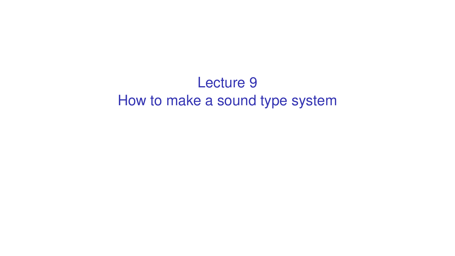# Lecture 9 How to make a sound type system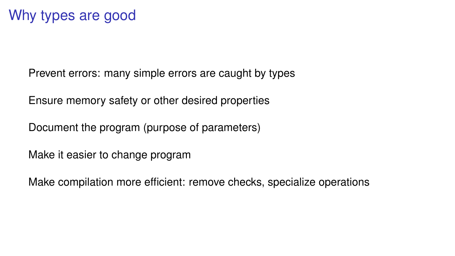Prevent errors: many simple errors are caught by types

Ensure memory safety or other desired properties

Document the program (purpose of parameters)

Make it easier to change program

Make compilation more efficient: remove checks, specialize operations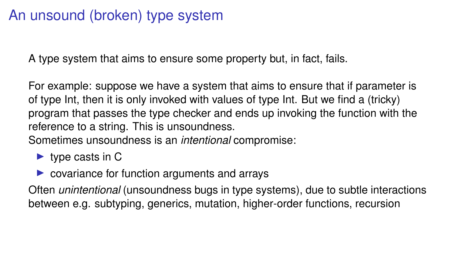# An unsound (broken) type system

A type system that aims to ensure some property but, in fact, fails.

For example: suppose we have a system that aims to ensure that if parameter is of type Int, then it is only invoked with values of type Int. But we find a (tricky) program that passes the type checker and ends up invoking the function with the reference to a string. This is unsoundness.

Sometimes unsoundness is an *intentional* compromise:

- $\blacktriangleright$  type casts in C
- $\triangleright$  covariance for function arguments and arrays

Often *unintentional* (unsoundness bugs in type systems), due to subtle interactions between e.g. subtyping, generics, mutation, higher-order functions, recursion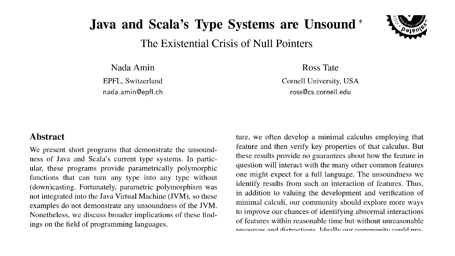# **Java and Scala's Type Systems are Unsound**\*

The Existential Crisis of Null Pointers

Nada Amin

EPFL. Switzerland nada.amin@epfl.ch Ross Tate

Cornell University, USA ross@cs.cornell.edu

#### **Abstract**

We present short programs that demonstrate the unsoundness of Java and Scala's current type systems. In particular, these programs provide parametrically polymorphic functions that can turn any type into any type without (down)casting. Fortunately, parametric polymorphism was not integrated into the Java Virtual Machine (JVM), so these examples do not demonstrate any unsoundness of the JVM. Nonetheless, we discuss broader implications of these findings on the field of programming languages.

ture, we often develop a minimal calculus employing that feature and then verify key properties of that calculus. But these results provide no guarantees about how the feature in question will interact with the many other common features one might expect for a full language. The unsoundness we identify results from such an interaction of features. Thus, in addition to valuing the development and verification of minimal calculi, our community should explore more ways to improve our chances of identifying abnormal interactions of features within reasonable time but without unreasonable resources and distractions. Ideally our community could nro-

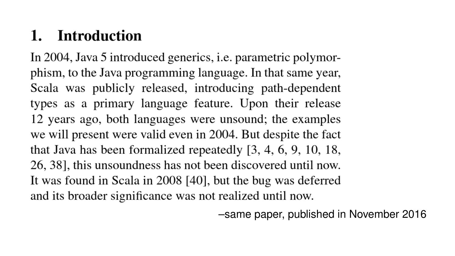# 1. Introduction

In 2004, Java 5 introduced generics, *i.e.* parametric polymorphism, to the Java programming language. In that same year, Scala was publicly released, introducing path-dependent types as a primary language feature. Upon their release 12 years ago, both languages were unsound; the examples we will present were valid even in 2004. But despite the fact that Java has been formalized repeatedly  $[3, 4, 6, 9, 10, 18,$ 26, 38], this unsoundness has not been discovered until now. It was found in Scala in 2008 [40], but the bug was deferred and its broader significance was not realized until now.

–same paper, published in November 2016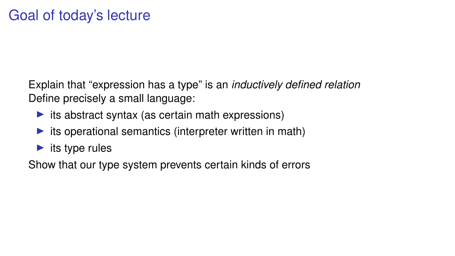Explain that "expression has a type" is an *inductively defined relation* Define precisely a small language:

- $\triangleright$  its abstract syntax (as certain math expressions)
- $\triangleright$  its operational semantics (interpreter written in math)
- $\blacktriangleright$  its type rules

Show that our type system prevents certain kinds of errors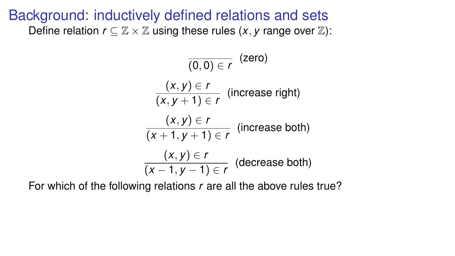$$
\frac{(x, y) \in r}{(x, y + 1) \in r}
$$
 (increase right)  

$$
\frac{(x, y) \in r}{(x + 1, y + 1) \in r}
$$
 (increase both)  

$$
\frac{(x, y) \in r}{(x - 1, y - 1) \in r}
$$
 (decrease both)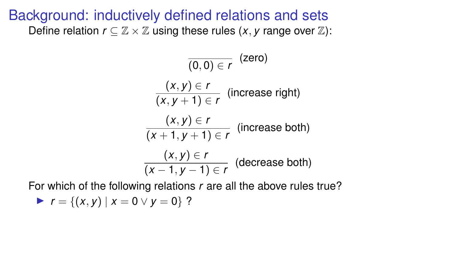$$
\frac{(x, y) \in r}{(x, y + 1) \in r}
$$
 (increase right)  

$$
\frac{(x, y) \in r}{(x + 1, y + 1) \in r}
$$
 (increase both)  

$$
\frac{(x, y) \in r}{(x - 1, y - 1) \in r}
$$
 (decrease both)

$$
r = \{(x, y) | x = 0 \vee y = 0\}
$$
?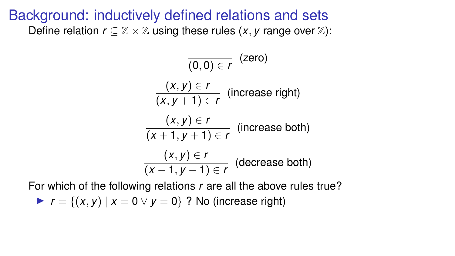$$
\frac{(x, y) \in r}{(x, y + 1) \in r}
$$
 (increase right)  

$$
\frac{(x, y) \in r}{(x + 1, y + 1) \in r}
$$
 (increase both)  

$$
\frac{(x, y) \in r}{(x - 1, y - 1) \in r}
$$
 (decrease both)

For which of the following relations *r* are all the above rules true?

 $\triangleright$  *r* = {(*x*, *y*) | *x* = 0 ∨ *y* = 0} ? No (increase right)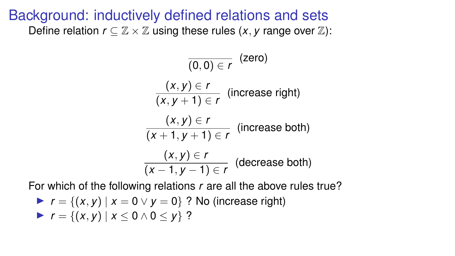$$
\frac{(x, y) \in r}{(x, y + 1) \in r}
$$
 (increase right)  

$$
\frac{(x, y) \in r}{(x + 1, y + 1) \in r}
$$
 (increase both)  

$$
\frac{(x, y) \in r}{(x - 1, y - 1) \in r}
$$
 (decrease both)

$$
r = \{(x, y) \mid x = 0 \lor y = 0\} ?
$$
 No (increase right)  

$$
r = \{(x, y) \mid x \le 0 \land 0 \le y\} ?
$$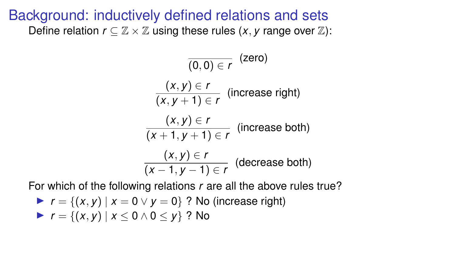$$
\frac{(x, y) \in r}{(x, y + 1) \in r}
$$
 (increase right)  

$$
\frac{(x, y) \in r}{(x + 1, y + 1) \in r}
$$
 (increase both)  

$$
\frac{(x, y) \in r}{(x - 1, y - 1) \in r}
$$
 (decrease both)

$$
r = \{(x, y) \mid x = 0 \lor y = 0\} ? No (increase right)
$$
  
\n
$$
r = \{(x, y) \mid x \le 0 \land 0 \le y\} ? No
$$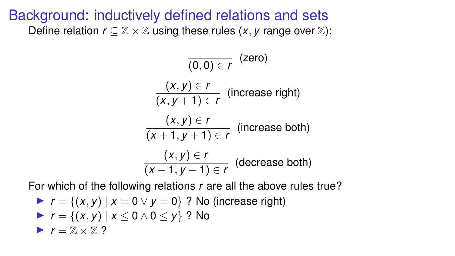$$
\frac{(x, y) \in r}{(x, y + 1) \in r}
$$
 (increase right)  

$$
\frac{(x, y) \in r}{(x + 1, y + 1) \in r}
$$
 (increase both)  

$$
\frac{(x, y) \in r}{(x - 1, y - 1) \in r}
$$
 (decrease both)

\n- $$
r = \{(x, y) \mid x = 0 \lor y = 0\}
$$
 ? No (increase right)
\n- $r = \{(x, y) \mid x \le 0 \land 0 \le y\}$  ? No
\n- $r = \mathbb{Z} \times \mathbb{Z}$  ?
\n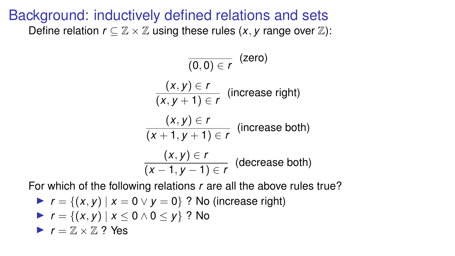$$
\frac{(x, y) \in r}{(x, y + 1) \in r}
$$
 (increase right)  

$$
\frac{(x, y) \in r}{(x + 1, y + 1) \in r}
$$
 (increase both)  

$$
\frac{(x, y) \in r}{(x - 1, y - 1) \in r}
$$
 (decrease both)

\n- $$
r = \{(x, y) \mid x = 0 \lor y = 0\}
$$
 ? No (increase right)
\n- $r = \{(x, y) \mid x \le 0 \land 0 \le y\}$  ? No
\n- $r = \mathbb{Z} \times \mathbb{Z}$  ? Yes
\n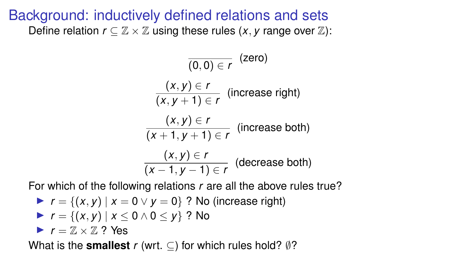$$
\frac{(x, y) \in r}{(x, y + 1) \in r}
$$
 (increase right)  

$$
\frac{(x, y) \in r}{(x + 1, y + 1) \in r}
$$
 (increase both)  

$$
\frac{(x, y) \in r}{(x - 1, y - 1) \in r}
$$
 (decrease both)

For which of the following relations *r* are all the above rules true?

\n- $$
r = \{(x, y) \mid x = 0 \lor y = 0\}
$$
 ? No (increase right)
\n- $r = \{(x, y) \mid x \le 0 \land 0 \le y\}$  ? No
\n- $r = \mathbb{Z} \times \mathbb{Z}$  ? Yes
\n

What is the **smallest** *r* (wrt.  $\subset$ ) for which rules hold?  $\emptyset$ ?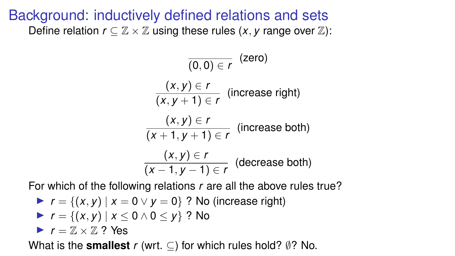$$
\frac{(x, y) \in r}{(x, y + 1) \in r}
$$
 (increase right)  

$$
\frac{(x, y) \in r}{(x + 1, y + 1) \in r}
$$
 (increase both)  

$$
\frac{(x, y) \in r}{(x - 1, y - 1) \in r}
$$
 (decrease both)

For which of the following relations *r* are all the above rules true?

\n- $$
r = \{(x, y) \mid x = 0 \lor y = 0\}
$$
 ? No (increase right)
\n- $r = \{(x, y) \mid x \le 0 \land 0 \le y\}$  ? No
\n- $r = \mathbb{Z} \times \mathbb{Z}$  ? Yes
\n

What is the **smallest**  $r$  (wrt.  $\subseteq$ ) for which rules hold?  $\emptyset$ ? No.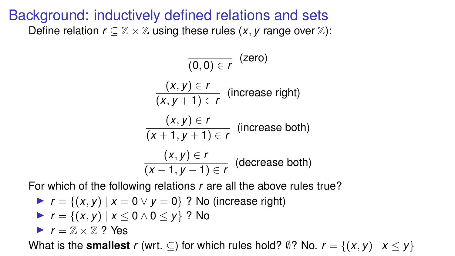$$
\frac{(x, y) \in r}{(x, y + 1) \in r}
$$
 (increase right)  

$$
\frac{(x, y) \in r}{(x + 1, y + 1) \in r}
$$
 (increase both)  

$$
\frac{(x, y) \in r}{(x - 1, y - 1) \in r}
$$
 (decrease both)

\n- $$
r = \{(x, y) \mid x = 0 \lor y = 0\}
$$
 ? No (increase right)
\n- $r = \{(x, y) \mid x \le 0 \land 0 \le y\}$  ? No
\n- $r = \mathbb{Z} \times \mathbb{Z}$  ? Yes
\n- What is the smallest  $r$  (wrt.  $\subseteq$ ) for which rules hold?  $\emptyset$ ? No.  $r = \{(x, y) \mid x \le y\}$
\n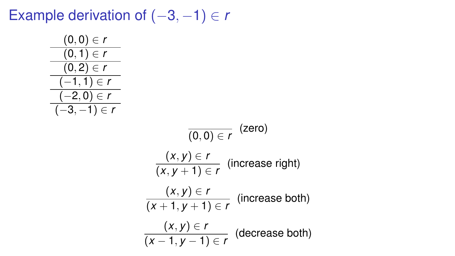Example derivation of (−3, −1) ∈ *r*

 $(0, 0)$  $(0, 1)$  $\overline{(0,2)}$  $\Box$ 1, 1  $\left(-2\right)$ 

$$
\frac{(0,0) \in r}{(0,1) \in r}
$$
\n
$$
\frac{(-1,1) \in r}{(-3,-1) \in r}
$$
\n
$$
\frac{(-2,0) \in r}{(-3,-1) \in r}
$$
\n
$$
\frac{(x,y) \in r}{(x,y+1) \in r}
$$
\n
$$
\frac{(x,y) \in r}{(x+1,y+1) \in r}
$$
\n
$$
\frac{(x,y) \in r}{(x+1,y+1) \in r}
$$
\n
$$
\frac{(x,y) \in r}{(x-1,y-1) \in r}
$$
\n
$$
\frac{(x,y) \in r}{(x-1,y-1) \in r}
$$
\n(decrease both)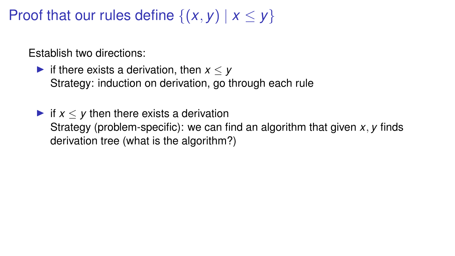Proof that our rules define  $\{(x, y) | x \le y\}$ 

Establish two directions:

- If there exists a derivation, then  $x < y$ Strategy: induction on derivation, go through each rule
- If  $x < y$  then there exists a derivation Strategy (problem-specific): we can find an algorithm that given *x*, *y* finds derivation tree (what is the algorithm?)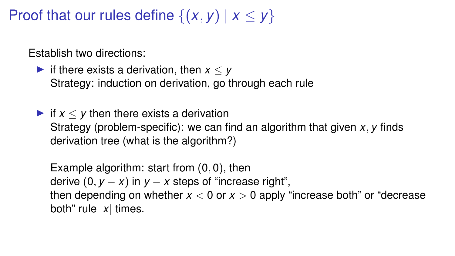Proof that our rules define  $\{(x, y) | x \le y\}$ 

Establish two directions:

If there exists a derivation, then  $x < y$ Strategy: induction on derivation, go through each rule

If  $x < y$  then there exists a derivation Strategy (problem-specific): we can find an algorithm that given *x*, *y* finds derivation tree (what is the algorithm?)

Example algorithm: start from (0, 0), then derive  $(0, y - x)$  in  $y - x$  steps of "increase right", then depending on whether  $x < 0$  or  $x > 0$  apply "increase both" or "decrease" both" rule |*x*| times.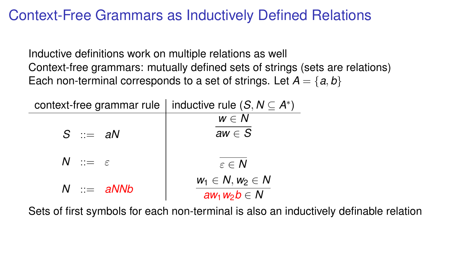### Context-Free Grammars as Inductively Defined Relations

Inductive definitions work on multiple relations as well Context-free grammars: mutually defined sets of strings (sets are relations) Each non-terminal corresponds to a set of strings. Let  $A = \{a, b\}$ 

| context-free grammar rule   inductive rule $(S, N \subseteq A^*)$ |                                            |
|-------------------------------------------------------------------|--------------------------------------------|
| $S \cong aN$                                                      | $w \in N$<br>aw $\in$ S                    |
| $N := \varepsilon$                                                | $\varepsilon \in \mathcal{N}$              |
| $N \cong aNNb$                                                    | $w_1 \in N, w_2 \in N$<br>$aw_1w_2b \in N$ |

Sets of first symbols for each non-terminal is also an inductively definable relation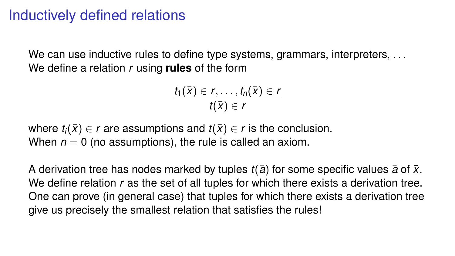### Inductively defined relations

We can use inductive rules to define type systems, grammars, interpreters, ... We define a relation *r* using **rules** of the form

$$
\frac{t_1(\bar{x})\in r,\ldots,t_n(\bar{x})\in r}{t(\bar{x})\in r}
$$

where  $t_i(\bar{x}) \in r$  are assumptions and  $t(\bar{x}) \in r$  is the conclusion. When  $n = 0$  (no assumptions), the rule is called an axiom.

A derivation tree has nodes marked by tuples  $t(\bar{a})$  for some specific values  $\bar{a}$  of  $\bar{x}$ . We define relation *r* as the set of all tuples for which there exists a derivation tree. One can prove (in general case) that tuples for which there exists a derivation tree give us precisely the smallest relation that satisfies the rules!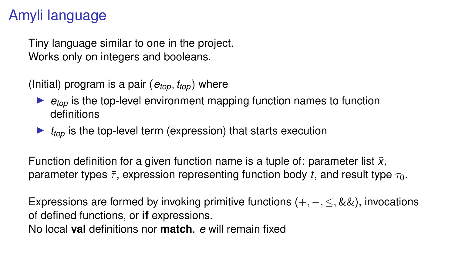# Amyli language

Tiny language similar to one in the project. Works only on integers and booleans.

(Initial) program is a pair (*etop*, *ttop*) where

- $\rightarrow$   $e_{\text{top}}$  is the top-level environment mapping function names to function definitions
- $\blacktriangleright$   $t_{top}$  is the top-level term (expression) that starts execution

Function definition for a given function name is a tuple of: parameter list  $\bar{x}$ , parameter types  $\bar{\tau}$ , expression representing function body *t*, and result type  $\tau_0$ .

Expressions are formed by invoking primitive functions  $(+, -, <, \&\&)$ , invocations of defined functions, or **if** expressions. No local **val** definitions nor **match**. *e* will remain fixed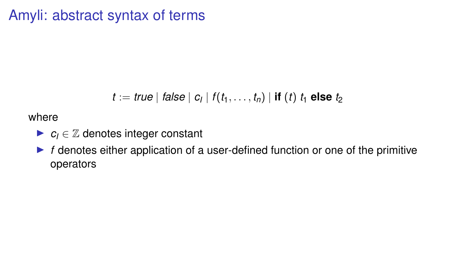### Amyli: abstract syntax of terms

$$
t := \mathit{true} \mid \mathit{false} \mid c_l \mid f(t_1, \ldots, t_n) \mid \mathbf{if} \; (t) \; t_1 \; \mathbf{else} \; t_2
$$

where

- $\blacktriangleright$   $c_i \in \mathbb{Z}$  denotes integer constant
- **F** f denotes either application of a user-defined function or one of the primitive operators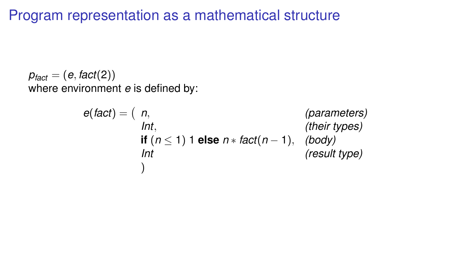Program representation as a mathematical structure

 $p_{fact} = (e, fact(2))$ where environment *e* is defined by:

$$
e(fact) = (n, \nint, \nif (n \le 1) 1 else n * fact(n - 1), \nthen types)\nInt (result type)\n)
$$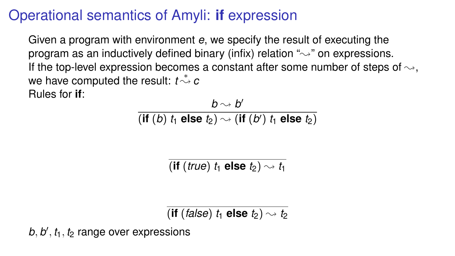# Operational semantics of Amyli: **if** expression

Given a program with environment *e*, we specify the result of executing the program as an inductively defined binary (infix) relation  $\sim$ " on expressions. If the top-level expression becomes a constant after some number of steps of  $\rightarrow$ . *we have computed the result: <i>t*  $\stackrel{*}{\sim}$  *c* Rules for **if**:

$$
\frac{b \rightarrow b'}{(\text{if } (b) \ t_1 \ \text{else } t_2) \rightarrow (\text{if } (b') \ t_1 \ \text{else } t_2)}
$$

(**if** (*true*)  $t_1$  **else**  $t_2$ )  $\rightarrow t_1$ 

(**if** (*false*)  $t_1$  **else**  $t_2$ )  $\rightsquigarrow t_2$ 

*b*, *b* 0 , *t*1, *t*<sup>2</sup> range over expressions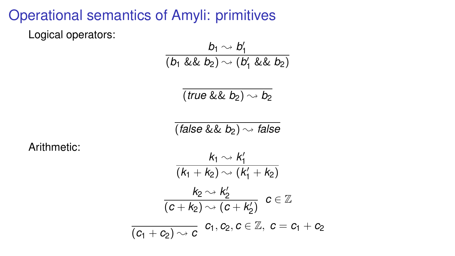# Operational semantics of Amyli: primitives

Logical operators:

$$
\frac{b_1 \rightsquigarrow b'_1}{(b_1 \& \& b_2) \rightsquigarrow (b'_1 \& \& b_2)}
$$
\n
$$
\frac{\overline{(true \& \& b_2) \rightsquigarrow (b'_1 \& \& b_2)}}{(\overline{false} \& \& b_2) \rightsquigarrow false}
$$
\n
$$
\frac{k_1 \rightsquigarrow k'_1}{(k_1 + k_2) \rightsquigarrow (k'_1 + k_2)}
$$
\n
$$
\frac{k_2 \rightsquigarrow k'_2}{(c + k_2) \rightsquigarrow (c + k'_2)} \quad c \in \mathbb{Z}
$$
\n
$$
\frac{\overline{(c_1 + c_2) \rightsquigarrow c}}{(\overline{c_1 + c_2}) \rightsquigarrow c} \quad c_1, c_2, c \in \mathbb{Z}, \ c = c_1 + c_2
$$

Arithmetic: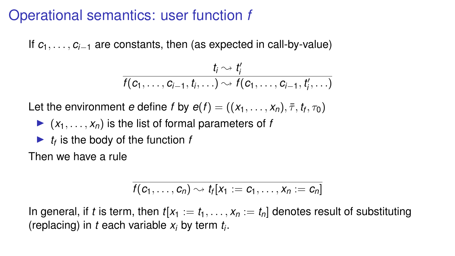### Operational semantics: user function *f*

If *c*1, . . . , *ci*−<sup>1</sup> are constants, then (as expected in call-by-value)

$$
\frac{t_i \sim t'_i}{f(c_1,\ldots,c_{i-1},t_i,\ldots) \sim f(c_1,\ldots,c_{i-1},t'_i,\ldots)}
$$

Let the environment *e* define *f* by  $e(f) = ((x_1, \ldots, x_n), \overline{\tau}, t_f, \tau_0)$ 

- $\blacktriangleright$   $(x_1, \ldots, x_n)$  is the list of formal parameters of *f*
- $\blacktriangleright$  *t<sub>f</sub>* is the body of the function *f*

Then we have a rule

$$
\overline{f(c_1,\ldots,c_n)}\sim t_f[x_1:=c_1,\ldots,x_n:=c_n]
$$

In general, if *t* is term, then  $t[x_1 := t_1, \ldots, x_n := t_n]$  denotes result of substituting (replacing) in *t* each variable *x<sup>i</sup>* by term *t<sup>i</sup>* .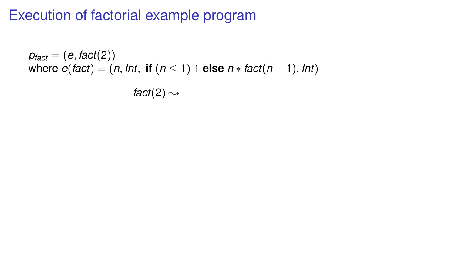$p_{fact} = (e, fact(2))$ where  $e(fact) = (n, Int, if (n \leq 1) 1$  else  $n * fact(n - 1), Int)$ *fact*(2)  $\rightsquigarrow$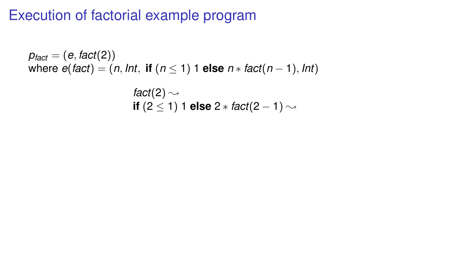$$
\begin{array}{l} \text{fact}(2) \sim \\ \text{if} \ (2 \leq 1) \ 1 \ \text{else} \ 2 * \ \text{fact}(2-1) \sim \end{array}
$$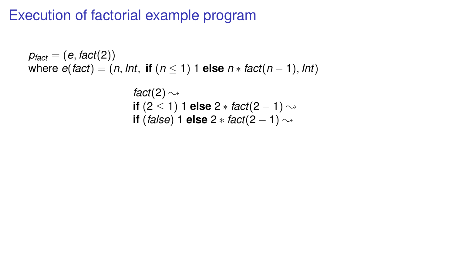$$
fact(2) \sim
$$
  
if (2 \le 1) 1 else 2 \* fact(2 - 1)  $\sim$   
if (false) 1 else 2 \* fact(2 - 1)  $\sim$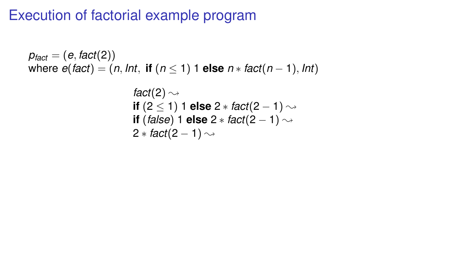$$
fact(2) \sim
$$
  
if (2 \le 1) 1 else 2 \* fact(2 - 1)  $\sim$   
if (false) 1 else 2 \* fact(2 - 1)  $\sim$   
2 \* fact(2 - 1)  $\sim$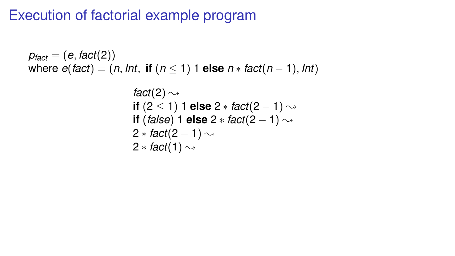$$
fact(2) \sim
$$
\n
$$
if (2 \le 1) 1 else 2 * fact(2 - 1) \sim
$$
\n
$$
if (false) 1 else 2 * fact(2 - 1) \sim
$$
\n
$$
2 * fact(2 - 1) \sim
$$
\n
$$
2 * fact(1) \sim
$$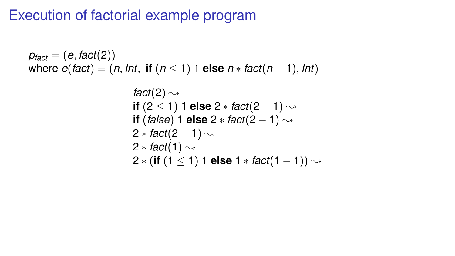$p_{fact} = (e, fact(2))$ where  $e(fact) = (n, Int, \text{ if } (n \leq 1) \text{ 1 else } n * fact(n-1), Int)$ 

$$
fact(2) \sim
$$
\n
$$
if (2 \le 1) 1 else 2 * fact(2 - 1) \sim
$$
\n
$$
if (false) 1 else 2 * fact(2 - 1) \sim
$$
\n
$$
2 * fact(2 - 1) \sim
$$
\n
$$
2 * fact(1) \sim
$$
\n
$$
2 * (if (1 \le 1) 1 else 1 * fact(1 - 1)) \sim
$$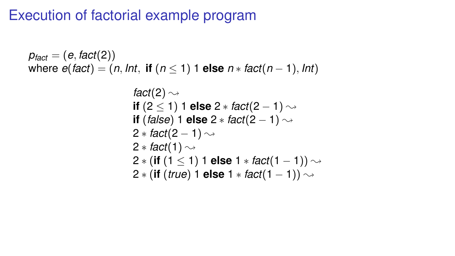$p_{fact} = (e, fact(2))$ where  $e$ (*fact*) = (*n*, *Int*, **if** ( $n$  < 1) 1 **else**  $n$  \* *fact*( $n$  – 1), *Int*) *fact*(2)  $\rightsquigarrow$ **if**  $(2 < 1)$  1 **else**  $2 *$  *fact* $(2 - 1)$  → **if** (*false*) 1 **else**  $2 *$  *fact*( $2 - 1$ )  $\sim$  $2 * \text{fact}(2 - 1) \rightarrow$ 2  $*$  *fact*(1)  $\rightsquigarrow$ 

> 2  $\ast$  (**if** (1 < 1) 1 **else** 1  $\ast$  *fact*(1 − 1))  $\rightsquigarrow$ 2  $\ast$  (**if** (*true*) 1 **else** 1  $\ast$  *fact*(1 − 1))  $\sim$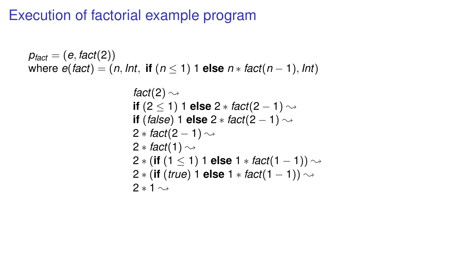$p_{fact} = (e, fact(2))$ where  $e$ (*fact*) = (*n*, *Int*, **if** ( $n$  < 1) 1 **else**  $n$  \* *fact*( $n$  – 1), *Int*) *fact*(2)  $\rightsquigarrow$ **if**  $(2 < 1)$  1 **else**  $2 *$  *fact* $(2 - 1)$  → **if** (*false*) 1 **else**  $2 *$  *fact*( $2 - 1$ )  $\sim$  $2 * \text{fact}(2 - 1) \rightarrow$ 2  $*$  *fact*(1)  $\rightsquigarrow$ 2  $\ast$  (**if** (1 < 1) 1 **else** 1  $\ast$  *fact*(1 − 1))  $\rightsquigarrow$ 2  $\ast$  (**if** (*true*) 1 **else** 1  $\ast$  *fact*(1 − 1))  $\rightsquigarrow$  $2 * 1 \sim$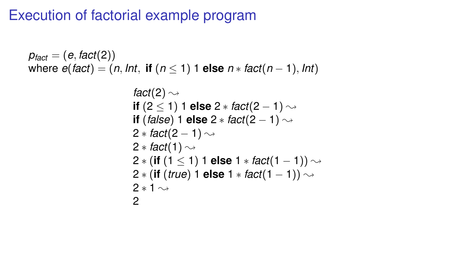$p_{fact} = (e, fact(2))$ where  $e$ (*fact*) = (*n*, *Int*, **if** ( $n$  < 1) 1 **else**  $n$  \* *fact*( $n$  – 1), *Int*) *fact*(2)  $\rightsquigarrow$ **if**  $(2 < 1)$  1 **else**  $2 *$  *fact* $(2 - 1)$  → **if** (*false*) 1 **else**  $2 *$  *fact*( $2 - 1$ )  $\sim$  $2 * \text{fact}(2 - 1) \rightarrow$ 2  $*$  *fact*(1)  $\rightsquigarrow$ 2  $\ast$  (**if** (1 < 1) 1 **else** 1  $\ast$  *fact*(1 − 1))  $\rightsquigarrow$ 2  $\ast$  (**if** (*true*) 1 **else** 1  $\ast$  *fact*(1 − 1))  $\rightsquigarrow$  $2 * 1 \sim$ 2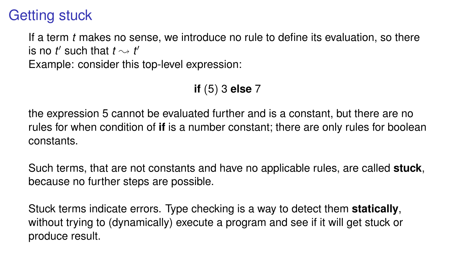### Getting stuck

If a term *t* makes no sense, we introduce no rule to define its evaluation, so there is no *t'* such that  $t \sim t'$ Example: consider this top-level expression:

**if** (5) 3 **else** 7

the expression 5 cannot be evaluated further and is a constant, but there are no rules for when condition of **if** is a number constant; there are only rules for boolean constants.

Such terms, that are not constants and have no applicable rules, are called **stuck**, because no further steps are possible.

Stuck terms indicate errors. Type checking is a way to detect them **statically**, without trying to (dynamically) execute a program and see if it will get stuck or produce result.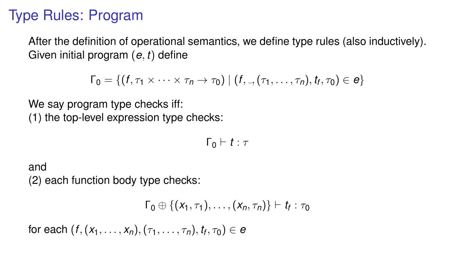# Type Rules: Program

After the definition of operational semantics, we define type rules (also inductively). Given initial program (*e*, *t*) define

$$
\Gamma_0 = \{ (f, \tau_1 \times \cdots \times \tau_n \to \tau_0) \mid (f, \cdot, (\tau_1, \ldots, \tau_n), t_f, \tau_0) \in e \}
$$

We say program type checks iff: (1) the top-level expression type checks:

$$
\Gamma_0 \vdash t : \tau
$$

and (2) each function body type checks:

$$
\Gamma_0\oplus\{(x_1,\tau_1),\ldots,(x_n,\tau_n)\}\vdash t_f:\tau_0
$$

 $\mathsf{for\; each}\; (f,(x_1,\ldots,x_n),(\tau_1,\ldots,\tau_n), t_{\mathsf{f}},\tau_0) \in \mathsf{e}$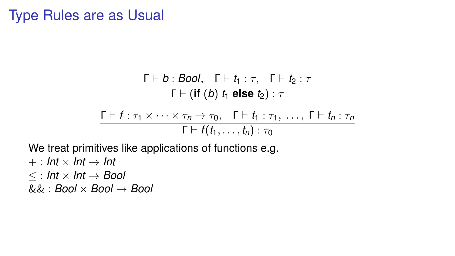#### Type Rules are as Usual

$$
\frac{\Gamma \vdash b : \textit{Bool}, \quad \Gamma \vdash t_1 : \tau, \quad \Gamma \vdash t_2 : \tau}{\Gamma \vdash (\textbf{if } (b) \ t_1 \textbf{ else } t_2) : \tau}
$$
\n
$$
\frac{\Gamma \vdash f : \tau_1 \times \cdots \times \tau_n \to \tau_0, \quad \Gamma \vdash t_1 : \tau_1, \ \ldots, \ \Gamma \vdash t_n : \tau_n}{\Gamma \vdash f(t_1, \ldots, t_n) : \tau_0}
$$

We treat primitives like applications of functions e.g.

 $+$  : *Int*  $\times$  *Int*  $\rightarrow$  *Int*  $\lt$  : *Int*  $\times$  *Int*  $\rightarrow$  *Bool* && : *Bool* × *Bool* → *Bool*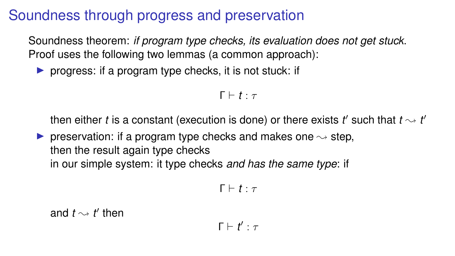# Soundness through progress and preservation

Soundness theorem: *if program type checks, its evaluation does not get stuck*. Proof uses the following two lemmas (a common approach):

**P** progress: if a program type checks, it is not stuck: if

```
Γ ⊢ t ⋅ τ
```
then either *t* is a constant (execution is done) or there exists  $t'$  such that  $t \sim t'$ 

**P** preservation: if a program type checks and makes one  $\sim$  step, then the result again type checks in our simple system: it type checks *and has the same type*: if

$$
\Gamma \vdash t : \tau
$$

and  $t \sim t'$  then

$$
\Gamma \vdash t' : \tau
$$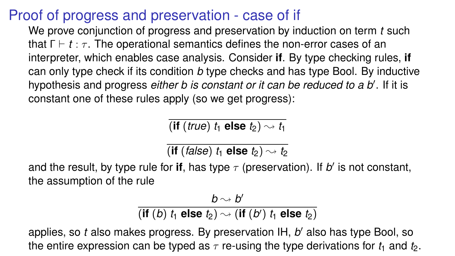## Proof of progress and preservation - case of if

We prove conjunction of progress and preservation by induction on term *t* such that  $\Gamma \vdash t : \tau$ . The operational semantics defines the non-error cases of an interpreter, which enables case analysis. Consider **if**. By type checking rules, **if** can only type check if its condition *b* type checks and has type Bool. By inductive hypothesis and progress *either b is constant or it can be reduced to a b'*. If it is constant one of these rules apply (so we get progress):

(**if** (*true*)  $t_1$  **else**  $t_2$ )  $\rightsquigarrow$   $t_1$ 

 $\overline{f}$  (**if** (*false*)  $t_1$  **else**  $t_2$ )  $\rightarrow t_2$ 

and the result, by type rule for if, has type  $\tau$  (preservation). If  $b'$  is not constant, the assumption of the rule

 $\frac{b\rightsquigarrow b'}{b}$ 

 $(i$ f $(b)$   $t_1$  else  $t_2$ )  $\sim$   $(i$ f $(b')$   $t_1$  else  $t_2$ )

applies, so *t* also makes progress. By preservation IH, *b'* also has type Bool, so the entire expression can be typed as  $\tau$  re-using the type derivations for  $t_1$  and  $t_2$ .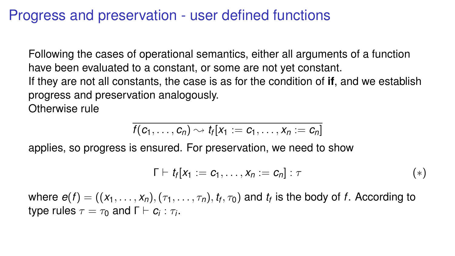### Progress and preservation - user defined functions

Following the cases of operational semantics, either all arguments of a function have been evaluated to a constant, or some are not yet constant. If they are not all constants, the case is as for the condition of **if**, and we establish progress and preservation analogously. Otherwise rule

$$
f(c_1,\ldots,c_n)\sim t_f[x_1:=c_1,\ldots,x_n:=c_n]
$$

applies, so progress is ensured. For preservation, we need to show

$$
\Gamma \vdash t_f [x_1 := c_1, \ldots, x_n := c_n] : \tau
$$
\n
$$
(*)
$$

where  $e(f) = ((x_1,\ldots,x_n),(\tau_1,\ldots,\tau_n),t_f,\tau_0)$  and  $t_f$  is the body of  $f.$  According to  $\tt type rules$   $\tau = \tau_0$  and  $\Gamma \vdash \boldsymbol{c_i} : \tau_i.$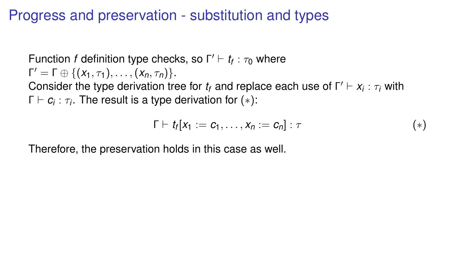### Progress and preservation - substitution and types

Function *f* definition type checks, so  $Γ' ⊢ t<sub>f</sub> : τ<sub>0</sub>$  where  $Γ' = Γ ⊕ {(X<sub>1</sub>, τ<sub>1</sub>), ..., (X<sub>n</sub>, τ<sub>n</sub>)}$ .

Consider the type derivation tree for  $t_f$  and replace each use of  $\Gamma' \vdash x_i : \tau_i$  with **Γ**  $\vdash$   $\boldsymbol{c}_{i}$  :  $\tau_{i}.$  The result is a type derivation for ( $*$ ):

$$
\Gamma \vdash t_{f}[x_{1} := c_{1}, \ldots, x_{n} := c_{n}]: \tau
$$
\n
$$
(*)
$$

Therefore, the preservation holds in this case as well.